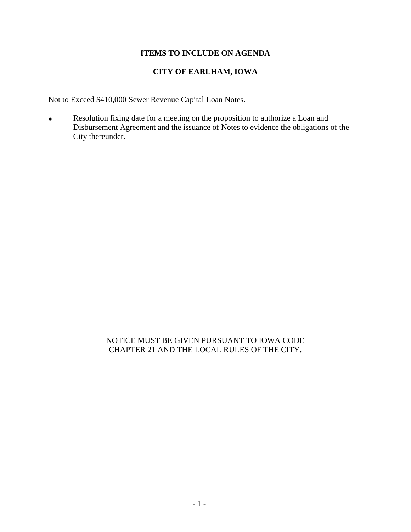## **ITEMS TO INCLUDE ON AGENDA**

# **CITY OF EARLHAM, IOWA**

Not to Exceed \$410,000 Sewer Revenue Capital Loan Notes.

• Resolution fixing date for a meeting on the proposition to authorize a Loan and Disbursement Agreement and the issuance of Notes to evidence the obligations of the City thereunder.

## NOTICE MUST BE GIVEN PURSUANT TO IOWA CODE CHAPTER 21 AND THE LOCAL RULES OF THE CITY.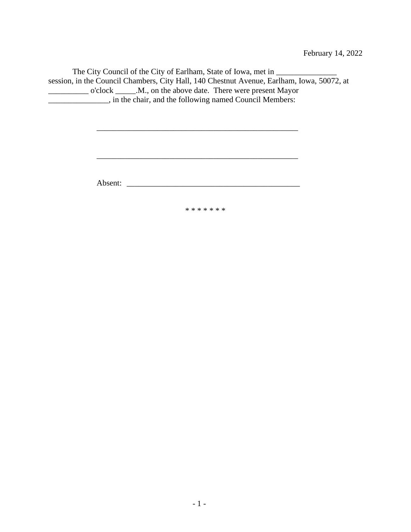The City Council of the City of Earlham, State of Iowa, met in \_\_\_\_\_\_\_\_\_\_\_\_\_\_\_\_\_\_ session, in the Council Chambers, City Hall, 140 Chestnut Avenue, Earlham, Iowa, 50072, at \_\_\_\_\_\_\_\_\_\_ o'clock \_\_\_\_\_.M., on the above date. There were present Mayor \_\_\_\_\_\_\_\_\_\_\_\_\_\_\_, in the chair, and the following named Council Members:

\_\_\_\_\_\_\_\_\_\_\_\_\_\_\_\_\_\_\_\_\_\_\_\_\_\_\_\_\_\_\_\_\_\_\_\_\_\_\_\_\_\_\_\_\_\_\_\_\_\_

Absent: \_\_\_\_\_\_\_\_\_\_\_\_\_\_\_\_\_\_\_\_\_\_\_\_\_\_\_\_\_\_\_\_\_\_\_\_\_\_\_\_\_\_\_

\* \* \* \* \* \* \*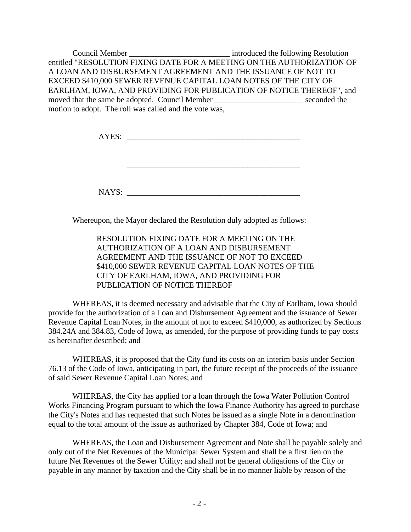Council Member \_\_\_\_\_\_\_\_\_\_\_\_\_\_\_\_\_\_\_\_\_\_\_\_\_\_\_\_\_\_\_\_\_\_\_ introduced the following Resolution entitled "RESOLUTION FIXING DATE FOR A MEETING ON THE AUTHORIZATION OF A LOAN AND DISBURSEMENT AGREEMENT AND THE ISSUANCE OF NOT TO EXCEED \$410,000 SEWER REVENUE CAPITAL LOAN NOTES OF THE CITY OF EARLHAM, IOWA, AND PROVIDING FOR PUBLICATION OF NOTICE THEREOF", and moved that the same be adopted. Council Member \_\_\_\_\_\_\_\_\_\_\_\_\_\_\_\_\_\_\_\_\_\_ seconded the motion to adopt. The roll was called and the vote was,

AYES: \_\_\_\_\_\_\_\_\_\_\_\_\_\_\_\_\_\_\_\_\_\_\_\_\_\_\_\_\_\_\_\_\_\_\_\_\_\_\_\_\_\_\_

\_\_\_\_\_\_\_\_\_\_\_\_\_\_\_\_\_\_\_\_\_\_\_\_\_\_\_\_\_\_\_\_\_\_\_\_\_\_\_\_\_\_\_

NAYS:

Whereupon, the Mayor declared the Resolution duly adopted as follows:

RESOLUTION FIXING DATE FOR A MEETING ON THE AUTHORIZATION OF A LOAN AND DISBURSEMENT AGREEMENT AND THE ISSUANCE OF NOT TO EXCEED \$410,000 SEWER REVENUE CAPITAL LOAN NOTES OF THE CITY OF EARLHAM, IOWA, AND PROVIDING FOR PUBLICATION OF NOTICE THEREOF

WHEREAS, it is deemed necessary and advisable that the City of Earlham, Iowa should provide for the authorization of a Loan and Disbursement Agreement and the issuance of Sewer Revenue Capital Loan Notes, in the amount of not to exceed \$410,000, as authorized by Sections 384.24A and 384.83, Code of Iowa, as amended, for the purpose of providing funds to pay costs as hereinafter described; and

WHEREAS, it is proposed that the City fund its costs on an interim basis under Section 76.13 of the Code of Iowa, anticipating in part, the future receipt of the proceeds of the issuance of said Sewer Revenue Capital Loan Notes; and

WHEREAS, the City has applied for a loan through the Iowa Water Pollution Control Works Financing Program pursuant to which the Iowa Finance Authority has agreed to purchase the City's Notes and has requested that such Notes be issued as a single Note in a denomination equal to the total amount of the issue as authorized by Chapter 384, Code of Iowa; and

WHEREAS, the Loan and Disbursement Agreement and Note shall be payable solely and only out of the Net Revenues of the Municipal Sewer System and shall be a first lien on the future Net Revenues of the Sewer Utility; and shall not be general obligations of the City or payable in any manner by taxation and the City shall be in no manner liable by reason of the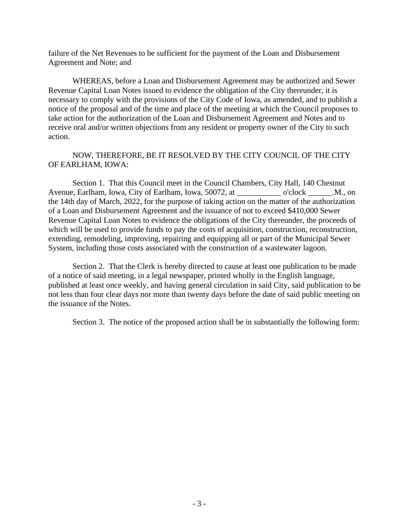failure of the Net Revenues to be sufficient for the payment of the Loan and Disbursement Agreement and Note; and

WHEREAS, before a Loan and Disbursement Agreement may be authorized and Sewer Revenue Capital Loan Notes issued to evidence the obligation of the City thereunder, it is necessary to comply with the provisions of the City Code of Iowa, as amended, and to publish a notice of the proposal and of the time and place of the meeting at which the Council proposes to take action for the authorization of the Loan and Disbursement Agreement and Notes and to receive oral and/or written objections from any resident or property owner of the City to such action.

## NOW, THEREFORE, BE IT RESOLVED BY THE CITY COUNCIL OF THE CITY OF EARLHAM, IOWA:

Section 1. That this Council meet in the Council Chambers, City Hall, 140 Chestnut Avenue, Earlham, Iowa, City of Earlham, Iowa, 50072, at  $\qquad \qquad$  o'clock M., on the 14th day of March, 2022, for the purpose of taking action on the matter of the authorization of a Loan and Disbursement Agreement and the issuance of not to exceed \$410,000 Sewer Revenue Capital Loan Notes to evidence the obligations of the City thereunder, the proceeds of which will be used to provide funds to pay the costs of acquisition, construction, reconstruction, extending, remodeling, improving, repairing and equipping all or part of the Municipal Sewer System, including those costs associated with the construction of a wastewater lagoon.

Section 2. That the Clerk is hereby directed to cause at least one publication to be made of a notice of said meeting, in a legal newspaper, printed wholly in the English language, published at least once weekly, and having general circulation in said City, said publication to be not less than four clear days nor more than twenty days before the date of said public meeting on the issuance of the Notes.

Section 3. The notice of the proposed action shall be in substantially the following form: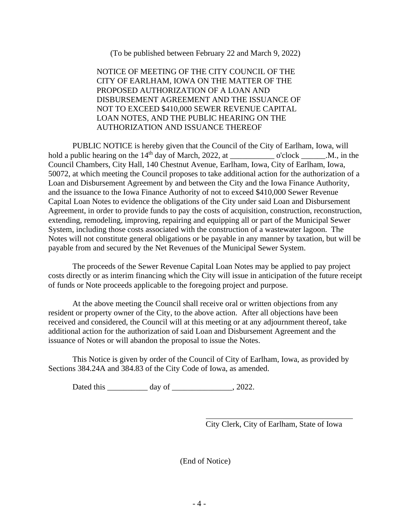(To be published between February 22 and March 9, 2022)

NOTICE OF MEETING OF THE CITY COUNCIL OF THE CITY OF EARLHAM, IOWA ON THE MATTER OF THE PROPOSED AUTHORIZATION OF A LOAN AND DISBURSEMENT AGREEMENT AND THE ISSUANCE OF NOT TO EXCEED \$410,000 SEWER REVENUE CAPITAL LOAN NOTES, AND THE PUBLIC HEARING ON THE AUTHORIZATION AND ISSUANCE THEREOF

PUBLIC NOTICE is hereby given that the Council of the City of Earlham, Iowa, will hold a public hearing on the  $14<sup>th</sup>$  day of March, 2022, at \_\_\_\_\_\_\_\_\_\_\_\_\_\_\_\_\_\_ o'clock \_\_\_\_\_\_\_.M., in the Council Chambers, City Hall, 140 Chestnut Avenue, Earlham, Iowa, City of Earlham, Iowa, 50072, at which meeting the Council proposes to take additional action for the authorization of a Loan and Disbursement Agreement by and between the City and the Iowa Finance Authority, and the issuance to the Iowa Finance Authority of not to exceed \$410,000 Sewer Revenue Capital Loan Notes to evidence the obligations of the City under said Loan and Disbursement Agreement, in order to provide funds to pay the costs of acquisition, construction, reconstruction, extending, remodeling, improving, repairing and equipping all or part of the Municipal Sewer System, including those costs associated with the construction of a wastewater lagoon. The Notes will not constitute general obligations or be payable in any manner by taxation, but will be payable from and secured by the Net Revenues of the Municipal Sewer System.

The proceeds of the Sewer Revenue Capital Loan Notes may be applied to pay project costs directly or as interim financing which the City will issue in anticipation of the future receipt of funds or Note proceeds applicable to the foregoing project and purpose.

At the above meeting the Council shall receive oral or written objections from any resident or property owner of the City, to the above action. After all objections have been received and considered, the Council will at this meeting or at any adjournment thereof, take additional action for the authorization of said Loan and Disbursement Agreement and the issuance of Notes or will abandon the proposal to issue the Notes.

This Notice is given by order of the Council of City of Earlham, Iowa, as provided by Sections 384.24A and 384.83 of the City Code of Iowa, as amended.

Dated this day of \_\_\_\_\_\_\_\_\_\_\_\_\_\_, 2022.

City Clerk, City of Earlham, State of Iowa

(End of Notice)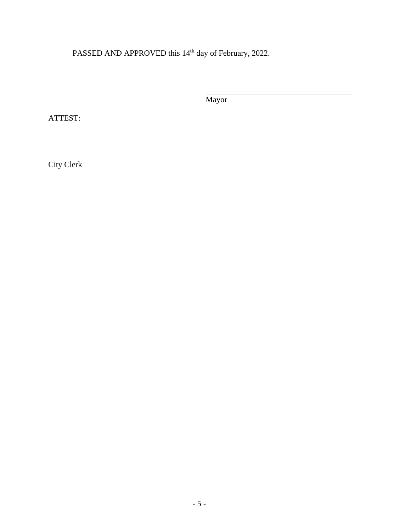PASSED AND APPROVED this 14<sup>th</sup> day of February, 2022.

Mayor

ATTEST:

City Clerk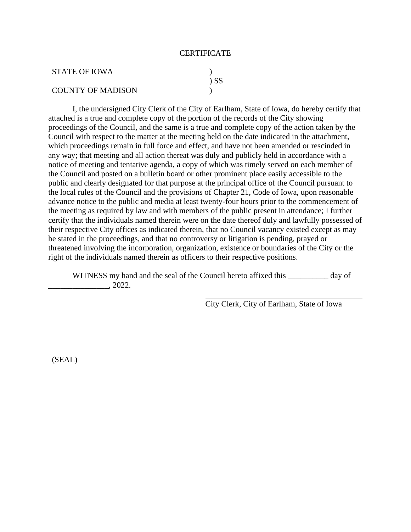#### **CERTIFICATE**

| STATE OF IOWA            |        |
|--------------------------|--------|
|                          | $\sum$ |
| <b>COUNTY OF MADISON</b> |        |

I, the undersigned City Clerk of the City of Earlham, State of Iowa, do hereby certify that attached is a true and complete copy of the portion of the records of the City showing proceedings of the Council, and the same is a true and complete copy of the action taken by the Council with respect to the matter at the meeting held on the date indicated in the attachment, which proceedings remain in full force and effect, and have not been amended or rescinded in any way; that meeting and all action thereat was duly and publicly held in accordance with a notice of meeting and tentative agenda, a copy of which was timely served on each member of the Council and posted on a bulletin board or other prominent place easily accessible to the public and clearly designated for that purpose at the principal office of the Council pursuant to the local rules of the Council and the provisions of Chapter 21, Code of Iowa, upon reasonable advance notice to the public and media at least twenty-four hours prior to the commencement of the meeting as required by law and with members of the public present in attendance; I further certify that the individuals named therein were on the date thereof duly and lawfully possessed of their respective City offices as indicated therein, that no Council vacancy existed except as may be stated in the proceedings, and that no controversy or litigation is pending, prayed or threatened involving the incorporation, organization, existence or boundaries of the City or the right of the individuals named therein as officers to their respective positions.

WITNESS my hand and the seal of the Council hereto affixed this \_\_\_\_\_\_\_\_\_\_ day of \_\_\_\_\_\_\_\_\_\_\_\_\_\_\_, 2022.

City Clerk, City of Earlham, State of Iowa

(SEAL)